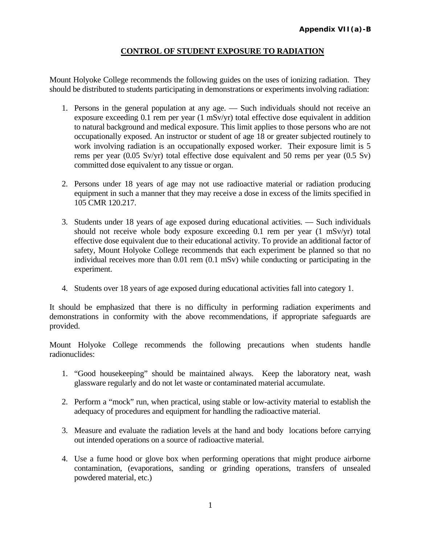## **CONTROL OF STUDENT EXPOSURE TO RADIATION**

Mount Holyoke College recommends the following guides on the uses of ionizing radiation. They should be distributed to students participating in demonstrations or experiments involving radiation:

- 1. Persons in the general population at any age. Such individuals should not receive an exposure exceeding 0.1 rem per year (1 mSv/yr) total effective dose equivalent in addition to natural background and medical exposure. This limit applies to those persons who are not occupationally exposed. An instructor or student of age 18 or greater subjected routinely to work involving radiation is an occupationally exposed worker. Their exposure limit is 5 rems per year (0.05 Sv/yr) total effective dose equivalent and 50 rems per year (0.5 Sv) committed dose equivalent to any tissue or organ.
- 2. Persons under 18 years of age may not use radioactive material or radiation producing equipment in such a manner that they may receive a dose in excess of the limits specified in 105 CMR 120.217.
- 3. Students under 18 years of age exposed during educational activities. Such individuals should not receive whole body exposure exceeding 0.1 rem per year (1 mSv/yr) total effective dose equivalent due to their educational activity. To provide an additional factor of safety, Mount Holyoke College recommends that each experiment be planned so that no individual receives more than 0.01 rem (0.1 mSv) while conducting or participating in the experiment.
- 4. Students over 18 years of age exposed during educational activities fall into category 1.

It should be emphasized that there is no difficulty in performing radiation experiments and demonstrations in conformity with the above recommendations, if appropriate safeguards are provided.

Mount Holyoke College recommends the following precautions when students handle radionuclides:

- 1. "Good housekeeping" should be maintained always. Keep the laboratory neat, wash glassware regularly and do not let waste or contaminated material accumulate.
- 2. Perform a "mock" run, when practical, using stable or low-activity material to establish the adequacy of procedures and equipment for handling the radioactive material.
- 3. Measure and evaluate the radiation levels at the hand and body locations before carrying out intended operations on a source of radioactive material.
- 4. Use a fume hood or glove box when performing operations that might produce airborne contamination, (evaporations, sanding or grinding operations, transfers of unsealed powdered material, etc.)